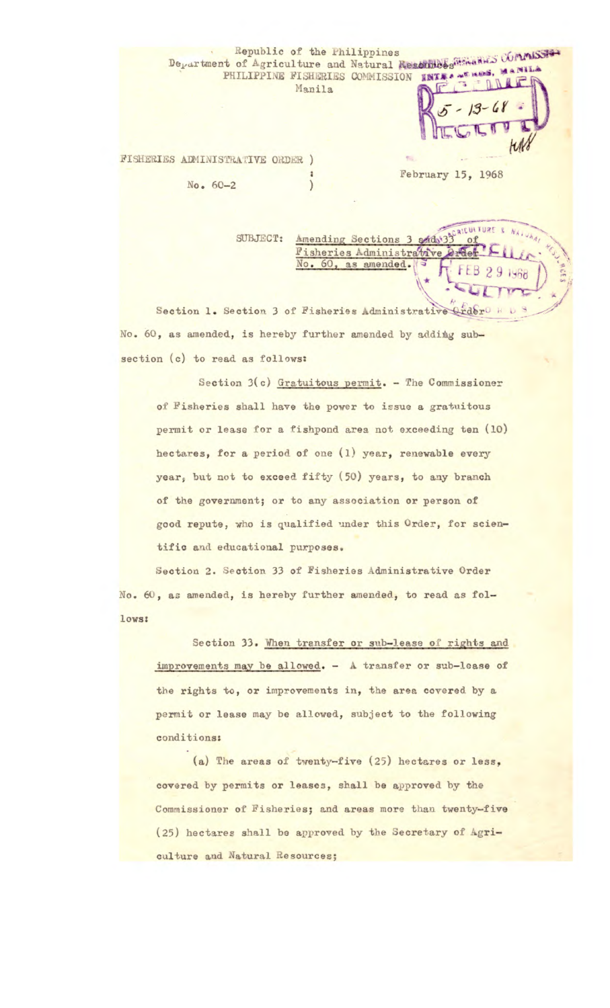## Republic of the Philippines<br>Department of Agriculture and Natural Resonables ... PHILIPPINE FISHERIES COMMISSION INTERNET ... Manila

Fisheries Administrative No. 60, as amended.

**FISHERIES ADMINISTRATIVE ORDER )** 

No. 60-2

\* February 15, 1968

**NATU** 

 $291968$ 

SUBJECT: <u>Amending Sections 3 and 33</u> of

Section 1. Section 3 of Fisheries Administrative Crder No. 60, as amended, is hereby further amended by adding subsection (c) to read as follows:

Section 3(c) Gratuitous permit. - The Commissioner of Fisheries shall have the power to issue a gratuitous permit or lease for a fishpond area not exceeding ten (10) hectares, for a period of one (1) year, renewable every year, but not to exceed fifty (50) years, to any branch of the government; or to any association or person of good repute, who is qualified under this Order, for scientific and educational purposes.

Section 2. Section 33 of Fisheries Administrative Order No. 60, as amended, is hereby further amended, to read as follows:

Section 33. When transfer or sub-lease of rights and improvements may be allowed. - A transfer or sub-lease of the rights to, or improvements in, the area covered by a permit or lease may be allowed, subject to the following conditions:

(a) The areas of twenty-five (25) hectares or less, covered by permits or leases, shall be approved by the **Commissioner of Fisheries; and areas** more than twenty-five (25) hectares shall be approved by the **Secretary of Agriculture and Natural Resources;**